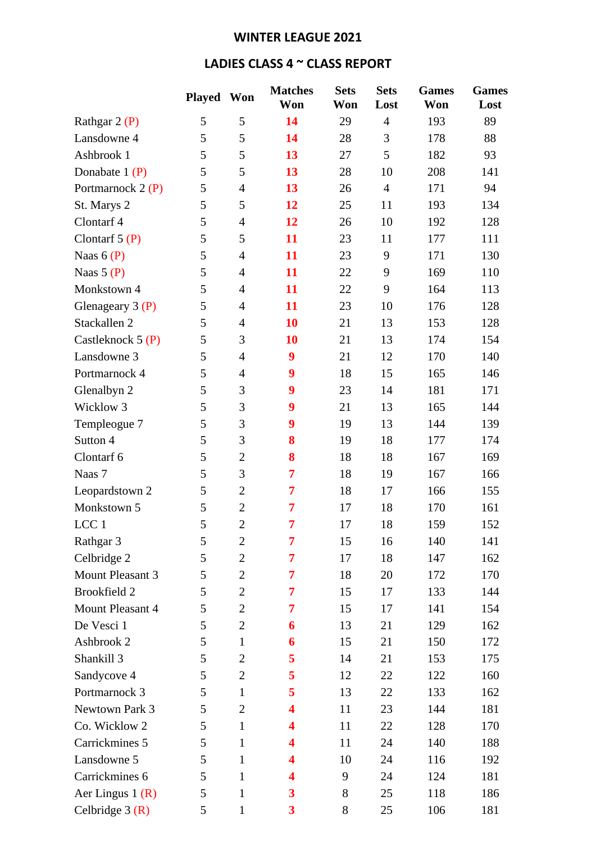## **WINTER LEAGUE 2021**

## **LADIES CLASS 4 ~ CLASS REPORT**

|                     | Played Won |                | <b>Matches</b><br>Won   | <b>Sets</b><br>Won | <b>Sets</b><br>Lost | <b>Games</b><br>Won | <b>Games</b><br>Lost |
|---------------------|------------|----------------|-------------------------|--------------------|---------------------|---------------------|----------------------|
| Rathgar $2(P)$      | 5          | 5              | 14                      | 29                 | $\overline{4}$      | 193                 | 89                   |
| Lansdowne 4         | 5          | 5              | 14                      | 28                 | 3                   | 178                 | 88                   |
| Ashbrook 1          | 5          | 5              | 13                      | 27                 | 5                   | 182                 | 93                   |
| Donabate $1(P)$     | 5          | 5              | 13                      | 28                 | 10                  | 208                 | 141                  |
| Portmarnock 2 (P)   | 5          | $\overline{4}$ | 13                      | 26                 | $\overline{4}$      | 171                 | 94                   |
| St. Marys 2         | 5          | 5              | 12                      | 25                 | 11                  | 193                 | 134                  |
| Clontarf 4          | 5          | $\overline{4}$ | 12                      | 26                 | 10                  | 192                 | 128                  |
| Clontarf $5(P)$     | 5          | 5              | 11                      | 23                 | 11                  | 177                 | 111                  |
| Naas $6(P)$         | 5          | $\overline{4}$ | 11                      | 23                 | 9                   | 171                 | 130                  |
| Naas $5(P)$         | 5          | $\overline{4}$ | 11                      | 22                 | 9                   | 169                 | 110                  |
| Monkstown 4         | 5          | $\overline{4}$ | 11                      | 22                 | 9                   | 164                 | 113                  |
| Glenageary $3(P)$   | 5          | $\overline{4}$ | 11                      | 23                 | 10                  | 176                 | 128                  |
| Stackallen 2        | 5          | $\overline{4}$ | 10                      | 21                 | 13                  | 153                 | 128                  |
| Castleknock $5(P)$  | 5          | 3              | 10                      | 21                 | 13                  | 174                 | 154                  |
| Lansdowne 3         | 5          | $\overline{4}$ | 9                       | 21                 | 12                  | 170                 | 140                  |
| Portmarnock 4       | 5          | $\overline{4}$ | 9                       | 18                 | 15                  | 165                 | 146                  |
| Glenalbyn 2         | 5          | 3              | 9                       | 23                 | 14                  | 181                 | 171                  |
| Wicklow 3           | 5          | 3              | 9                       | 21                 | 13                  | 165                 | 144                  |
| Templeogue 7        | 5          | 3              | 9                       | 19                 | 13                  | 144                 | 139                  |
| Sutton 4            | 5          | 3              | 8                       | 19                 | 18                  | 177                 | 174                  |
| Clontarf 6          | 5          | $\overline{2}$ | 8                       | 18                 | 18                  | 167                 | 169                  |
| Naas 7              | 5          | 3              | 7                       | 18                 | 19                  | 167                 | 166                  |
| Leopardstown 2      | 5          | $\overline{2}$ | 7                       | 18                 | 17                  | 166                 | 155                  |
| Monkstown 5         | 5          | $\overline{2}$ | 7                       | 17                 | 18                  | 170                 | 161                  |
| LCC <sub>1</sub>    | 5          | $\overline{2}$ | 7                       | 17                 | 18                  | 159                 | 152                  |
| Rathgar 3           | 5          | $\mathbf{2}$   | 7                       | 15                 | 16                  | 140                 | 141                  |
| Celbridge 2         | 5          | $\overline{2}$ | 7                       | 17                 | 18                  | 147                 | 162                  |
| Mount Pleasant 3    | 5          | $\overline{2}$ | 7                       | 18                 | 20                  | 172                 | 170                  |
| <b>Brookfield 2</b> | 5          | 2              | 7                       | 15                 | 17                  | 133                 | 144                  |
| Mount Pleasant 4    | 5          | $\overline{2}$ | 7                       | 15                 | 17                  | 141                 | 154                  |
| De Vesci 1          | 5          | $\overline{2}$ | 6                       | 13                 | 21                  | 129                 | 162                  |
| Ashbrook 2          | 5          | $\mathbf{1}$   | 6                       | 15                 | 21                  | 150                 | 172                  |
| Shankill 3          | 5          | $\overline{2}$ | 5                       | 14                 | 21                  | 153                 | 175                  |
| Sandycove 4         | 5          | 2              | 5                       | 12                 | 22                  | 122                 | 160                  |
| Portmarnock 3       | 5          | $\mathbf{1}$   | 5                       | 13                 | 22                  | 133                 | 162                  |
| Newtown Park 3      | 5          | $\overline{2}$ | 4                       | 11                 | 23                  | 144                 | 181                  |
| Co. Wicklow 2       | 5          | $\mathbf{1}$   | 4                       | 11                 | 22                  | 128                 | 170                  |
| Carrickmines 5      | 5          | $\mathbf{1}$   | 4                       | 11                 | 24                  | 140                 | 188                  |
| Lansdowne 5         | 5          | $\mathbf{1}$   | 4                       | 10                 | 24                  | 116                 | 192                  |
| Carrickmines 6      | 5          | $\mathbf{1}$   | 4                       | 9                  | 24                  | 124                 | 181                  |
| Aer Lingus $1(R)$   | 5          | 1              | 3                       | 8                  | 25                  | 118                 | 186                  |
| Celbridge $3(R)$    | 5          | 1              | $\overline{\mathbf{3}}$ | 8                  | 25                  | 106                 | 181                  |